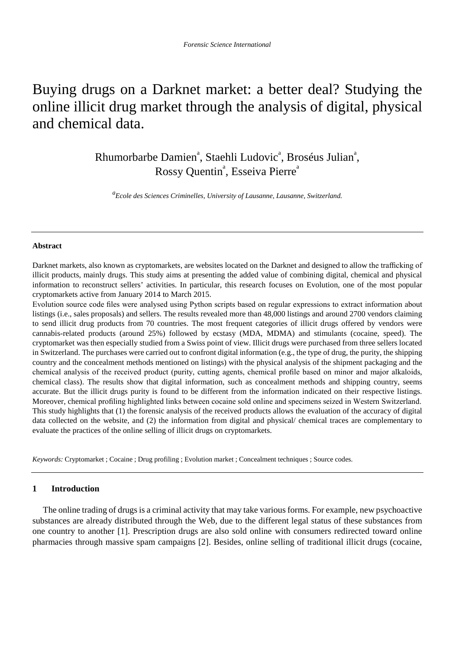# Buying drugs on a Darknet market: a better deal? Studying the online illicit drug market through the analysis of digital, physical and chemical data.

Rhumorbarbe Damien<sup>a</sup>, Staehli Ludovic<sup>a</sup>, Broséus Julian<sup>a</sup>, Rossy Quentin<sup>ª</sup>, Esseiva Pierre<sup>a</sup>

*a Ecole des Sciences Criminelles, University of Lausanne, Lausanne, Switzerland.*

#### **Abstract**

Darknet markets, also known as cryptomarkets, are websites located on the Darknet and designed to allow the trafficking of illicit products, mainly drugs. This study aims at presenting the added value of combining digital, chemical and physical information to reconstruct sellers' activities. In particular, this research focuses on Evolution, one of the most popular cryptomarkets active from January 2014 to March 2015.

Evolution source code files were analysed using Python scripts based on regular expressions to extract information about listings (i.e., sales proposals) and sellers. The results revealed more than 48,000 listings and around 2700 vendors claiming to send illicit drug products from 70 countries. The most frequent categories of illicit drugs offered by vendors were cannabis-related products (around 25%) followed by ecstasy (MDA, MDMA) and stimulants (cocaine, speed). The cryptomarket was then especially studied from a Swiss point of view. Illicit drugs were purchased from three sellers located in Switzerland. The purchases were carried out to confront digital information (e.g., the type of drug, the purity, the shipping country and the concealment methods mentioned on listings) with the physical analysis of the shipment packaging and the chemical analysis of the received product (purity, cutting agents, chemical profile based on minor and major alkaloids, chemical class). The results show that digital information, such as concealment methods and shipping country, seems accurate. But the illicit drugs purity is found to be different from the information indicated on their respective listings. Moreover, chemical profiling highlighted links between cocaine sold online and specimens seized in Western Switzerland. This study highlights that (1) the forensic analysis of the received products allows the evaluation of the accuracy of digital data collected on the website, and (2) the information from digital and physical/ chemical traces are complementary to evaluate the practices of the online selling of illicit drugs on cryptomarkets.

*Keywords:* Cryptomarket ; Cocaine ; Drug profiling ; Evolution market ; Concealment techniques ; Source codes.

#### **1 Introduction**

The online trading of drugs is a criminal activity that may take various forms. For example, new psychoactive substances are already distributed through the Web, due to the different legal status of these substances from one country to another [1]. Prescription drugs are also sold online with consumers redirected toward online pharmacies through massive spam campaigns [2]. Besides, online selling of traditional illicit drugs (cocaine,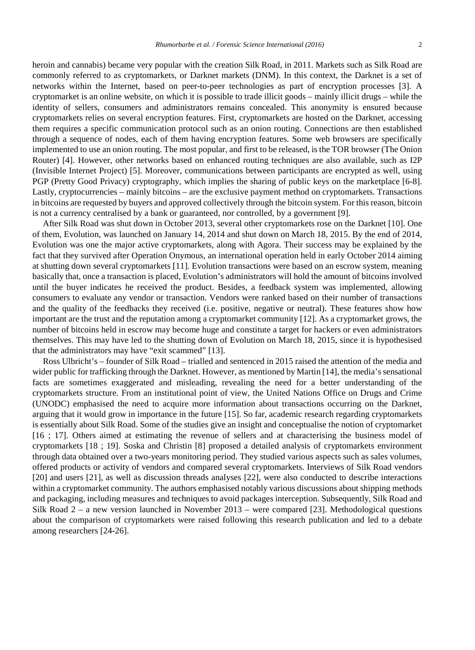heroin and cannabis) became very popular with the creation Silk Road, in 2011. Markets such as Silk Road are commonly referred to as cryptomarkets, or Darknet markets (DNM). In this context, the Darknet is a set of networks within the Internet, based on peer-to-peer technologies as part of encryption processes [3]. A cryptomarket is an online website, on which it is possible to trade illicit goods – mainly illicit drugs – while the identity of sellers, consumers and administrators remains concealed. This anonymity is ensured because cryptomarkets relies on several encryption features. First, cryptomarkets are hosted on the Darknet, accessing them requires a specific communication protocol such as an onion routing. Connections are then established through a sequence of nodes, each of them having encryption features. Some web browsers are specifically implemented to use an onion routing. The most popular, and first to be released, is the TOR browser (The Onion Router) [4]. However, other networks based on enhanced routing techniques are also available, such as I2P (Invisible Internet Project) [5]. Moreover, communications between participants are encrypted as well, using PGP (Pretty Good Privacy) cryptography, which implies the sharing of public keys on the marketplace [6-8]. Lastly, cryptocurrencies – mainly bitcoins – are the exclusive payment method on cryptomarkets. Transactions in bitcoins are requested by buyers and approved collectively through the bitcoin system. For this reason, bitcoin is not a currency centralised by a bank or guaranteed, nor controlled, by a government [9].

After Silk Road was shut down in October 2013, several other cryptomarkets rose on the Darknet [10]. One of them, Evolution, was launched on January 14, 2014 and shut down on March 18, 2015. By the end of 2014, Evolution was one the major active cryptomarkets, along with Agora. Their success may be explained by the fact that they survived after Operation Onymous, an international operation held in early October 2014 aiming at shutting down several cryptomarkets [11]. Evolution transactions were based on an escrow system, meaning basically that, once a transaction is placed, Evolution's administrators will hold the amount of bitcoins involved until the buyer indicates he received the product. Besides, a feedback system was implemented, allowing consumers to evaluate any vendor or transaction. Vendors were ranked based on their number of transactions and the quality of the feedbacks they received (i.e. positive, negative or neutral). These features show how important are the trust and the reputation among a cryptomarket community [12]. As a cryptomarket grows, the number of bitcoins held in escrow may become huge and constitute a target for hackers or even administrators themselves. This may have led to the shutting down of Evolution on March 18, 2015, since it is hypothesised that the administrators may have "exit scammed" [13].

Ross Ulbricht's – founder of Silk Road – trialled and sentenced in 2015 raised the attention of the media and wider public for trafficking through the Darknet. However, as mentioned by Martin [14], the media's sensational facts are sometimes exaggerated and misleading, revealing the need for a better understanding of the cryptomarkets structure. From an institutional point of view, the United Nations Office on Drugs and Crime (UNODC) emphasised the need to acquire more information about transactions occurring on the Darknet, arguing that it would grow in importance in the future [15]. So far, academic research regarding cryptomarkets is essentially about Silk Road. Some of the studies give an insight and conceptualise the notion of cryptomarket [16 ; 17]. Others aimed at estimating the revenue of sellers and at characterising the business model of cryptomarkets [18 ; 19]. Soska and Christin [8] proposed a detailed analysis of cryptomarkets environment through data obtained over a two-years monitoring period. They studied various aspects such as sales volumes, offered products or activity of vendors and compared several cryptomarkets. Interviews of Silk Road vendors [20] and users [21], as well as discussion threads analyses [22], were also conducted to describe interactions within a cryptomarket community. The authors emphasised notably various discussions about shipping methods and packaging, including measures and techniques to avoid packages interception. Subsequently, Silk Road and Silk Road 2 – a new version launched in November 2013 – were compared [23]. Methodological questions about the comparison of cryptomarkets were raised following this research publication and led to a debate among researchers [24-26].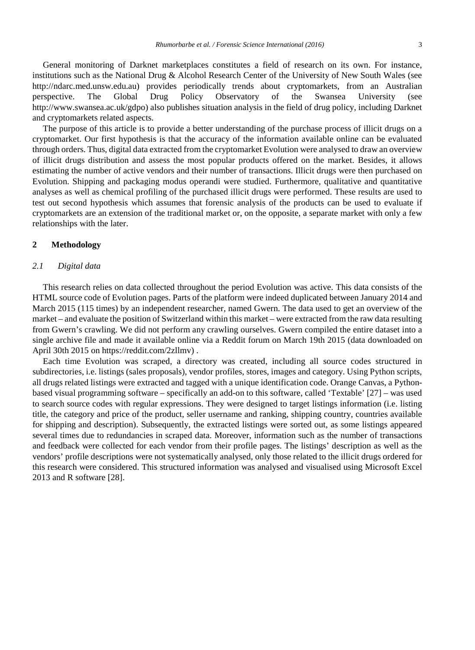General monitoring of Darknet marketplaces constitutes a field of research on its own. For instance, institutions such as the National Drug & Alcohol Research Center of the University of New South Wales (see http://ndarc.med.unsw.edu.au) provides periodically trends about cryptomarkets, from an Australian perspective. The Global Drug Policy Observatory of the Swansea University (see http://www.swansea.ac.uk/gdpo) also publishes situation analysis in the field of drug policy, including Darknet and cryptomarkets related aspects.

The purpose of this article is to provide a better understanding of the purchase process of illicit drugs on a cryptomarket. Our first hypothesis is that the accuracy of the information available online can be evaluated through orders. Thus, digital data extracted from the cryptomarket Evolution were analysed to draw an overview of illicit drugs distribution and assess the most popular products offered on the market. Besides, it allows estimating the number of active vendors and their number of transactions. Illicit drugs were then purchased on Evolution. Shipping and packaging modus operandi were studied. Furthermore, qualitative and quantitative analyses as well as chemical profiling of the purchased illicit drugs were performed. These results are used to test out second hypothesis which assumes that forensic analysis of the products can be used to evaluate if cryptomarkets are an extension of the traditional market or, on the opposite, a separate market with only a few relationships with the later.

#### **2 Methodology**

#### *2.1 Digital data*

This research relies on data collected throughout the period Evolution was active. This data consists of the HTML source code of Evolution pages. Parts of the platform were indeed duplicated between January 2014 and March 2015 (115 times) by an independent researcher, named Gwern. The data used to get an overview of the market – and evaluate the position of Switzerland within this market – were extracted from the raw data resulting from Gwern's crawling. We did not perform any crawling ourselves. Gwern compiled the entire dataset into a single archive file and made it available online via a Reddit forum on March 19th 2015 (data downloaded on April 30th 2015 on https://reddit.com/2zllmv) .

Each time Evolution was scraped, a directory was created, including all source codes structured in subdirectories, i.e. listings (sales proposals), vendor profiles, stores, images and category. Using Python scripts, all drugs related listings were extracted and tagged with a unique identification code. Orange Canvas, a Pythonbased visual programming software – specifically an add-on to this software, called 'Textable' [27] – was used to search source codes with regular expressions. They were designed to target listings information (i.e. listing title, the category and price of the product, seller username and ranking, shipping country, countries available for shipping and description). Subsequently, the extracted listings were sorted out, as some listings appeared several times due to redundancies in scraped data. Moreover, information such as the number of transactions and feedback were collected for each vendor from their profile pages. The listings' description as well as the vendors' profile descriptions were not systematically analysed, only those related to the illicit drugs ordered for this research were considered. This structured information was analysed and visualised using Microsoft Excel 2013 and R software [28].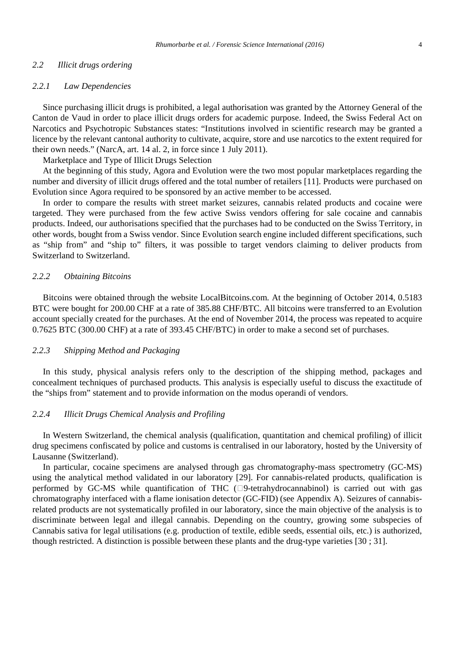#### *2.2 Illicit drugs ordering*

#### *2.2.1 Law Dependencies*

Since purchasing illicit drugs is prohibited, a legal authorisation was granted by the Attorney General of the Canton de Vaud in order to place illicit drugs orders for academic purpose. Indeed, the Swiss Federal Act on Narcotics and Psychotropic Substances states: "Institutions involved in scientific research may be granted a licence by the relevant cantonal authority to cultivate, acquire, store and use narcotics to the extent required for their own needs." (NarcA, art. 14 al. 2, in force since 1 July 2011).

Marketplace and Type of Illicit Drugs Selection

At the beginning of this study, Agora and Evolution were the two most popular marketplaces regarding the number and diversity of illicit drugs offered and the total number of retailers [11]. Products were purchased on Evolution since Agora required to be sponsored by an active member to be accessed.

In order to compare the results with street market seizures, cannabis related products and cocaine were targeted. They were purchased from the few active Swiss vendors offering for sale cocaine and cannabis products. Indeed, our authorisations specified that the purchases had to be conducted on the Swiss Territory, in other words, bought from a Swiss vendor. Since Evolution search engine included different specifications, such as "ship from" and "ship to" filters, it was possible to target vendors claiming to deliver products from Switzerland to Switzerland.

### *2.2.2 Obtaining Bitcoins*

Bitcoins were obtained through the website LocalBitcoins.com. At the beginning of October 2014, 0.5183 BTC were bought for 200.00 CHF at a rate of 385.88 CHF/BTC. All bitcoins were transferred to an Evolution account specially created for the purchases. At the end of November 2014, the process was repeated to acquire 0.7625 BTC (300.00 CHF) at a rate of 393.45 CHF/BTC) in order to make a second set of purchases.

#### *2.2.3 Shipping Method and Packaging*

In this study, physical analysis refers only to the description of the shipping method, packages and concealment techniques of purchased products. This analysis is especially useful to discuss the exactitude of the "ships from" statement and to provide information on the modus operandi of vendors.

### *2.2.4 Illicit Drugs Chemical Analysis and Profiling*

In Western Switzerland, the chemical analysis (qualification, quantitation and chemical profiling) of illicit drug specimens confiscated by police and customs is centralised in our laboratory, hosted by the University of Lausanne (Switzerland).

In particular, cocaine specimens are analysed through gas chromatography-mass spectrometry (GC-MS) using the analytical method validated in our laboratory [29]. For cannabis-related products, qualification is performed by GC-MS while quantification of THC  $(\Box 9$ -tetrahydrocannabinol) is carried out with gas chromatography interfaced with a flame ionisation detector (GC-FID) (see Appendix A). Seizures of cannabisrelated products are not systematically profiled in our laboratory, since the main objective of the analysis is to discriminate between legal and illegal cannabis. Depending on the country, growing some subspecies of Cannabis sativa for legal utilisations (e.g. production of textile, edible seeds, essential oils, etc.) is authorized, though restricted. A distinction is possible between these plants and the drug-type varieties [30 ; 31].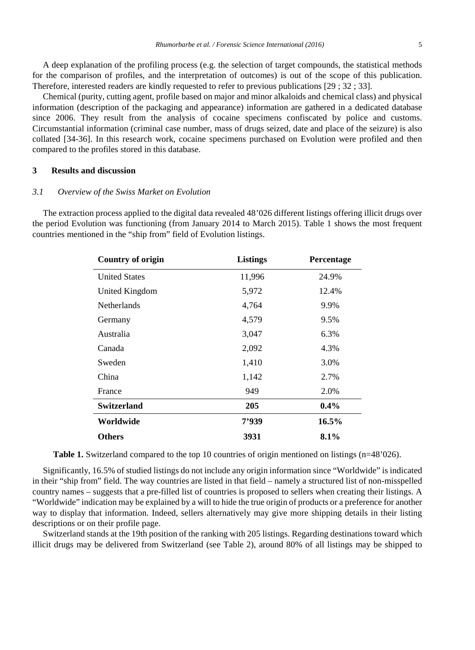A deep explanation of the profiling process (e.g. the selection of target compounds, the statistical methods for the comparison of profiles, and the interpretation of outcomes) is out of the scope of this publication. Therefore, interested readers are kindly requested to refer to previous publications [29 ; 32 ; 33].

Chemical (purity, cutting agent, profile based on major and minor alkaloids and chemical class) and physical information (description of the packaging and appearance) information are gathered in a dedicated database since 2006. They result from the analysis of cocaine specimens confiscated by police and customs. Circumstantial information (criminal case number, mass of drugs seized, date and place of the seizure) is also collated [34-36]. In this research work, cocaine specimens purchased on Evolution were profiled and then compared to the profiles stored in this database.

#### **3 Results and discussion**

#### *3.1 Overview of the Swiss Market on Evolution*

The extraction process applied to the digital data revealed 48'026 different listings offering illicit drugs over the period Evolution was functioning (from January 2014 to March 2015). Table 1 shows the most frequent countries mentioned in the "ship from" field of Evolution listings.

| <b>Country of origin</b> | <b>Listings</b> | Percentage |
|--------------------------|-----------------|------------|
| <b>United States</b>     | 11,996          | 24.9%      |
| United Kingdom           | 5,972           | 12.4%      |
| <b>Netherlands</b>       | 4,764           | 9.9%       |
| Germany                  | 4,579           | 9.5%       |
| Australia                | 3,047           | 6.3%       |
| Canada                   | 2,092           | 4.3%       |
| Sweden                   | 1,410           | 3.0%       |
| China                    | 1,142           | 2.7%       |
| France                   | 949             | 2.0%       |
| <b>Switzerland</b>       | 205             | $0.4\%$    |
| Worldwide                | 7'939           | 16.5%      |
| <b>Others</b>            | 3931            | $8.1\%$    |

**Table 1.** Switzerland compared to the top 10 countries of origin mentioned on listings (n=48'026).

Significantly, 16.5% of studied listings do not include any origin information since "Worldwide" is indicated in their "ship from" field. The way countries are listed in that field – namely a structured list of non-misspelled country names – suggests that a pre-filled list of countries is proposed to sellers when creating their listings. A "Worldwide" indication may be explained by a will to hide the true origin of products or a preference for another way to display that information. Indeed, sellers alternatively may give more shipping details in their listing descriptions or on their profile page.

Switzerland stands at the 19th position of the ranking with 205 listings. Regarding destinations toward which illicit drugs may be delivered from Switzerland (see Table 2), around 80% of all listings may be shipped to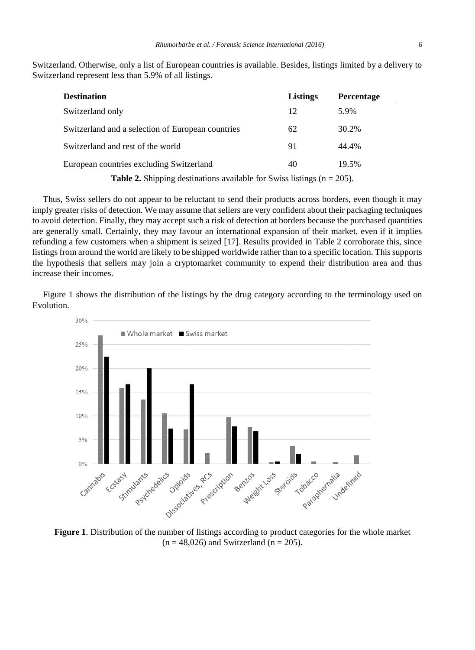Switzerland. Otherwise, only a list of European countries is available. Besides, listings limited by a delivery to Switzerland represent less than 5.9% of all listings.

| <b>Destination</b>                                | <b>Listings</b> | <b>Percentage</b> |
|---------------------------------------------------|-----------------|-------------------|
| Switzerland only                                  | 12              | 5.9%              |
| Switzerland and a selection of European countries | 62              | 30.2%             |
| Switzerland and rest of the world                 | 91              | 44.4%             |
| European countries excluding Switzerland          | 40              | 19.5%             |
|                                                   |                 |                   |

**Table 2.** Shipping destinations available for Swiss listings  $(n = 205)$ .

Thus, Swiss sellers do not appear to be reluctant to send their products across borders, even though it may imply greater risks of detection. We may assume that sellers are very confident about their packaging techniques to avoid detection. Finally, they may accept such a risk of detection at borders because the purchased quantities are generally small. Certainly, they may favour an international expansion of their market, even if it implies refunding a few customers when a shipment is seized [17]. Results provided in Table 2 corroborate this, since listings from around the world are likely to be shipped worldwide rather than to a specific location. This supports the hypothesis that sellers may join a cryptomarket community to expend their distribution area and thus increase their incomes.

Figure 1 shows the distribution of the listings by the drug category according to the terminology used on Evolution.



**Figure 1**. Distribution of the number of listings according to product categories for the whole market  $(n = 48,026)$  and Switzerland  $(n = 205)$ .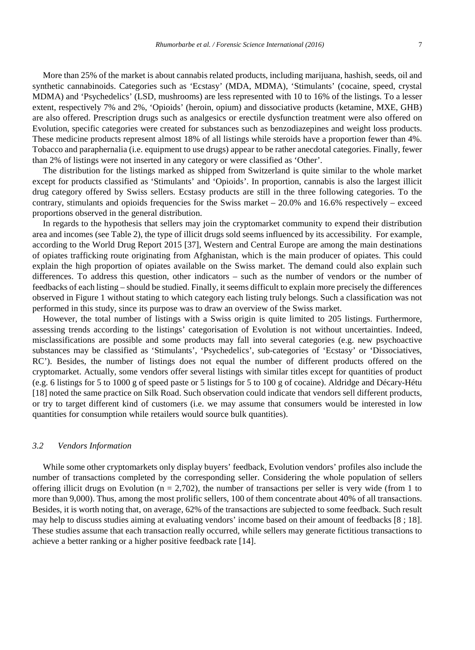More than 25% of the market is about cannabis related products, including marijuana, hashish, seeds, oil and synthetic cannabinoids. Categories such as 'Ecstasy' (MDA, MDMA), 'Stimulants' (cocaine, speed, crystal MDMA) and 'Psychedelics' (LSD, mushrooms) are less represented with 10 to 16% of the listings. To a lesser extent, respectively 7% and 2%, 'Opioids' (heroin, opium) and dissociative products (ketamine, MXE, GHB) are also offered. Prescription drugs such as analgesics or erectile dysfunction treatment were also offered on Evolution, specific categories were created for substances such as benzodiazepines and weight loss products. These medicine products represent almost 18% of all listings while steroids have a proportion fewer than 4%. Tobacco and paraphernalia (i.e. equipment to use drugs) appear to be rather anecdotal categories. Finally, fewer than 2% of listings were not inserted in any category or were classified as 'Other'.

The distribution for the listings marked as shipped from Switzerland is quite similar to the whole market except for products classified as 'Stimulants' and 'Opioids'. In proportion, cannabis is also the largest illicit drug category offered by Swiss sellers. Ecstasy products are still in the three following categories. To the contrary, stimulants and opioids frequencies for the Swiss market  $-20.0\%$  and 16.6% respectively – exceed proportions observed in the general distribution.

In regards to the hypothesis that sellers may join the cryptomarket community to expend their distribution area and incomes (see Table 2), the type of illicit drugs sold seems influenced by its accessibility. For example, according to the World Drug Report 2015 [37], Western and Central Europe are among the main destinations of opiates trafficking route originating from Afghanistan, which is the main producer of opiates. This could explain the high proportion of opiates available on the Swiss market. The demand could also explain such differences. To address this question, other indicators – such as the number of vendors or the number of feedbacks of each listing – should be studied. Finally, it seems difficult to explain more precisely the differences observed in Figure 1 without stating to which category each listing truly belongs. Such a classification was not performed in this study, since its purpose was to draw an overview of the Swiss market.

However, the total number of listings with a Swiss origin is quite limited to 205 listings. Furthermore, assessing trends according to the listings' categorisation of Evolution is not without uncertainties. Indeed, misclassifications are possible and some products may fall into several categories (e.g. new psychoactive substances may be classified as 'Stimulants', 'Psychedelics', sub-categories of 'Ecstasy' or 'Dissociatives, RC'). Besides, the number of listings does not equal the number of different products offered on the cryptomarket. Actually, some vendors offer several listings with similar titles except for quantities of product (e.g. 6 listings for 5 to 1000 g of speed paste or 5 listings for 5 to 100 g of cocaine). Aldridge and Décary-Hétu [18] noted the same practice on Silk Road. Such observation could indicate that vendors sell different products, or try to target different kind of customers (i.e. we may assume that consumers would be interested in low quantities for consumption while retailers would source bulk quantities).

#### *3.2 Vendors Information*

While some other cryptomarkets only display buyers' feedback, Evolution vendors' profiles also include the number of transactions completed by the corresponding seller. Considering the whole population of sellers offering illicit drugs on Evolution ( $n = 2,702$ ), the number of transactions per seller is very wide (from 1 to more than 9,000). Thus, among the most prolific sellers, 100 of them concentrate about 40% of all transactions. Besides, it is worth noting that, on average, 62% of the transactions are subjected to some feedback. Such result may help to discuss studies aiming at evaluating vendors' income based on their amount of feedbacks [8 ; 18]. These studies assume that each transaction really occurred, while sellers may generate fictitious transactions to achieve a better ranking or a higher positive feedback rate [14].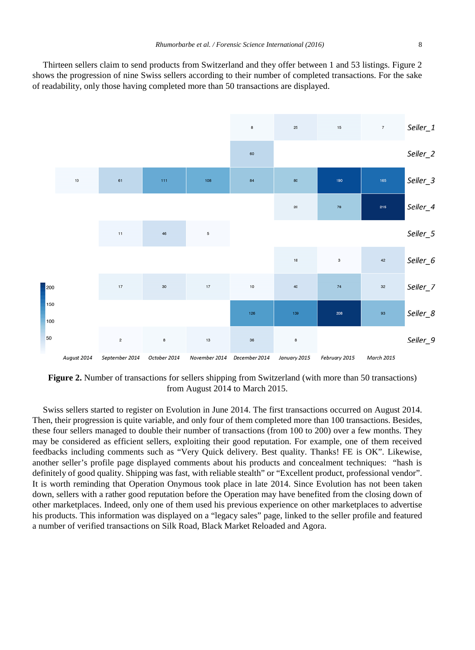Thirteen sellers claim to send products from Switzerland and they offer between 1 and 53 listings. Figure 2 shows the progression of nine Swiss sellers according to their number of completed transactions. For the sake of readability, only those having completed more than 50 transactions are displayed.



**Figure 2.** Number of transactions for sellers shipping from Switzerland (with more than 50 transactions) from August 2014 to March 2015.

Swiss sellers started to register on Evolution in June 2014. The first transactions occurred on August 2014. Then, their progression is quite variable, and only four of them completed more than 100 transactions. Besides, these four sellers managed to double their number of transactions (from 100 to 200) over a few months. They may be considered as efficient sellers, exploiting their good reputation. For example, one of them received feedbacks including comments such as "Very Quick delivery. Best quality. Thanks! FE is OK". Likewise, another seller's profile page displayed comments about his products and concealment techniques: "hash is definitely of good quality. Shipping was fast, with reliable stealth" or "Excellent product, professional vendor". It is worth reminding that Operation Onymous took place in late 2014. Since Evolution has not been taken down, sellers with a rather good reputation before the Operation may have benefited from the closing down of other marketplaces. Indeed, only one of them used his previous experience on other marketplaces to advertise his products. This information was displayed on a "legacy sales" page, linked to the seller profile and featured a number of verified transactions on Silk Road, Black Market Reloaded and Agora.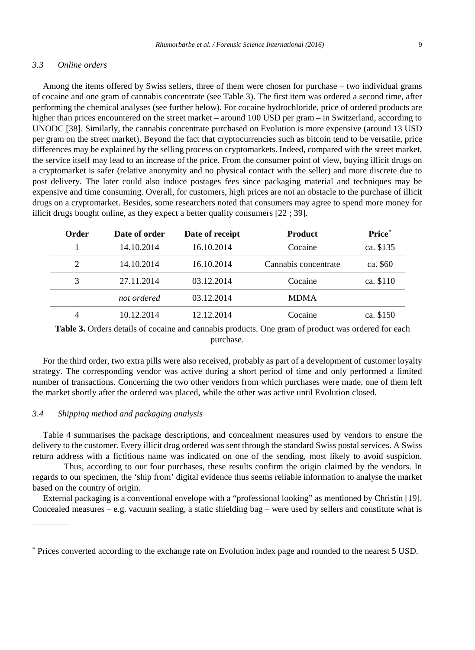#### *3.3 Online orders*

Among the items offered by Swiss sellers, three of them were chosen for purchase – two individual grams of cocaine and one gram of cannabis concentrate (see Table 3). The first item was ordered a second time, after performing the chemical analyses (see further below). For cocaine hydrochloride, price of ordered products are higher than prices encountered on the street market – around 100 USD per gram – in Switzerland, according to UNODC [38]. Similarly, the cannabis concentrate purchased on Evolution is more expensive (around 13 USD per gram on the street market). Beyond the fact that cryptocurrencies such as bitcoin tend to be versatile, price differences may be explained by the selling process on cryptomarkets. Indeed, compared with the street market, the service itself may lead to an increase of the price. From the consumer point of view, buying illicit drugs on a cryptomarket is safer (relative anonymity and no physical contact with the seller) and more discrete due to post delivery. The later could also induce postages fees since packaging material and techniques may be expensive and time consuming. Overall, for customers, high prices are not an obstacle to the purchase of illicit drugs on a cryptomarket. Besides, some researchers noted that consumers may agree to spend more money for illicit drugs bought online, as they expect a better quality consumers [22 ; 39].

| Order | Date of order | Date of receipt | <b>Product</b>       | Price*    |
|-------|---------------|-----------------|----------------------|-----------|
|       | 14.10.2014    | 16.10.2014      | Cocaine              | ca. \$135 |
| 2     | 14.10.2014    | 16.10.2014      | Cannabis concentrate | ca. \$60  |
| 3     | 27.11.2014    | 03.12.2014      | Cocaine              | ca. \$110 |
|       | not ordered   | 03.12.2014      | <b>MDMA</b>          |           |
|       | 10.12.2014    | 12.12.2014      | Cocaine              | ca. \$150 |

**Table 3.** Orders details of cocaine and cannabis products. One gram of product was ordered for each purchase.

For the third order, two extra pills were also received, probably as part of a development of customer loyalty strategy. The corresponding vendor was active during a short period of time and only performed a limited number of transactions. Concerning the two other vendors from which purchases were made, one of them left the market shortly after the ordered was placed, while the other was active until Evolution closed.

#### *3.4 Shipping method and packaging analysis*

Table 4 summarises the package descriptions, and concealment measures used by vendors to ensure the delivery to the customer. Every illicit drug ordered was sent through the standard Swiss postal services. A Swiss return address with a fictitious name was indicated on one of the sending, most likely to avoid suspicion.

Thus, according to our four purchases, these results confirm the origin claimed by the vendors. In regards to our specimen, the 'ship from' digital evidence thus seems reliable information to analyse the market based on the country of origin.

External packaging is a conventional envelope with a "professional looking" as mentioned by Christin [19]. Concealed measures – e.g. vacuum sealing, a static shielding bag – were used by sellers and constitute what is

<span id="page-8-0"></span><sup>\*</sup> Prices converted according to the exchange rate on Evolution index page and rounded to the nearest 5 USD.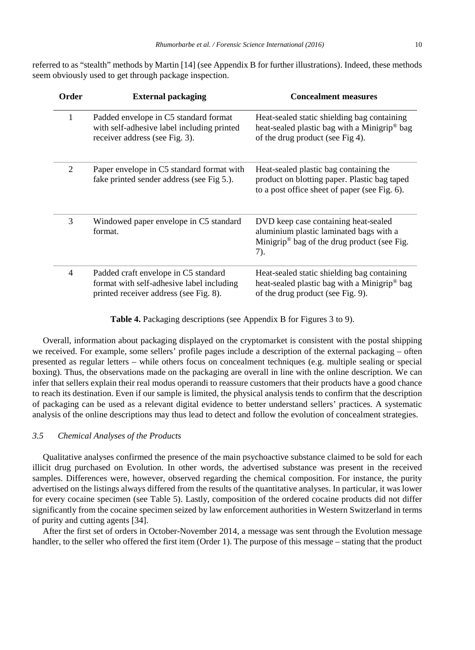referred to as "stealth" methods by Martin [14] (see Appendix B for further illustrations). Indeed, these methods seem obviously used to get through package inspection.

| Order | <b>External packaging</b>                                                                                                   | <b>Concealment measures</b>                                                                                                                       |
|-------|-----------------------------------------------------------------------------------------------------------------------------|---------------------------------------------------------------------------------------------------------------------------------------------------|
| 1     | Padded envelope in C5 standard format<br>with self-adhesive label including printed<br>receiver address (see Fig. 3).       | Heat-sealed static shielding bag containing<br>heat-sealed plastic bag with a Minigrip <sup>®</sup> bag<br>of the drug product (see Fig 4).       |
| 2     | Paper envelope in C5 standard format with<br>fake printed sender address (see Fig 5.).                                      | Heat-sealed plastic bag containing the<br>product on blotting paper. Plastic bag taped<br>to a post office sheet of paper (see Fig. 6).           |
| 3     | Windowed paper envelope in C5 standard<br>format.                                                                           | DVD keep case containing heat-sealed<br>aluminium plastic laminated bags with a<br>Minigrip <sup>®</sup> bag of the drug product (see Fig.<br>7). |
| 4     | Padded craft envelope in C5 standard<br>format with self-adhesive label including<br>printed receiver address (see Fig. 8). | Heat-sealed static shielding bag containing<br>heat-sealed plastic bag with a Minigrip <sup>®</sup> bag<br>of the drug product (see Fig. 9).      |

**Table 4.** Packaging descriptions (see Appendix B for Figures 3 to 9).

Overall, information about packaging displayed on the cryptomarket is consistent with the postal shipping we received. For example, some sellers' profile pages include a description of the external packaging – often presented as regular letters – while others focus on concealment techniques (e.g. multiple sealing or special boxing). Thus, the observations made on the packaging are overall in line with the online description. We can infer that sellers explain their real modus operandi to reassure customers that their products have a good chance to reach its destination. Even if our sample is limited, the physical analysis tends to confirm that the description of packaging can be used as a relevant digital evidence to better understand sellers' practices. A systematic analysis of the online descriptions may thus lead to detect and follow the evolution of concealment strategies.

#### *3.5 Chemical Analyses of the Products*

Qualitative analyses confirmed the presence of the main psychoactive substance claimed to be sold for each illicit drug purchased on Evolution. In other words, the advertised substance was present in the received samples. Differences were, however, observed regarding the chemical composition. For instance, the purity advertised on the listings always differed from the results of the quantitative analyses. In particular, it was lower for every cocaine specimen (see Table 5). Lastly, composition of the ordered cocaine products did not differ significantly from the cocaine specimen seized by law enforcement authorities in Western Switzerland in terms of purity and cutting agents [34].

After the first set of orders in October-November 2014, a message was sent through the Evolution message handler, to the seller who offered the first item (Order 1). The purpose of this message – stating that the product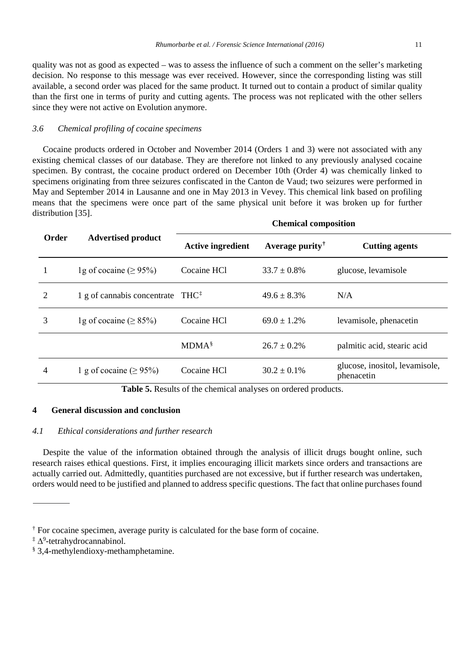quality was not as good as expected – was to assess the influence of such a comment on the seller's marketing decision. No response to this message was ever received. However, since the corresponding listing was still available, a second order was placed for the same product. It turned out to contain a product of similar quality than the first one in terms of purity and cutting agents. The process was not replicated with the other sellers since they were not active on Evolution anymore.

#### *3.6 Chemical profiling of cocaine specimens*

Cocaine products ordered in October and November 2014 (Orders 1 and 3) were not associated with any existing chemical classes of our database. They are therefore not linked to any previously analysed cocaine specimen. By contrast, the cocaine product ordered on December 10th (Order 4) was chemically linked to specimens originating from three seizures confiscated in the Canton de Vaud; two seizures were performed in May and September 2014 in Lausanne and one in May 2013 in Vevey. This chemical link based on profiling means that the specimens were once part of the same physical unit before it was broken up for further distribution [35].

|       | <b>Advertised product</b>                    | <b>Chemical composition</b> |                  |                                              |  |
|-------|----------------------------------------------|-----------------------------|------------------|----------------------------------------------|--|
| Order |                                              | <b>Active ingredient</b>    | Average purity   | <b>Cutting agents</b>                        |  |
|       | 1g of cocaine ( $\geq$ 95%)                  | Cocaine HCl                 | $33.7 \pm 0.8\%$ | glucose, levamisole                          |  |
| 2     | 1 g of cannabis concentrate $THC^{\ddagger}$ |                             | $49.6 \pm 8.3\%$ | N/A                                          |  |
| 3     | 1g of cocaine ( $\geq$ 85%)                  | Cocaine HCl                 | $69.0 \pm 1.2\%$ | levamisole, phenacetin                       |  |
|       |                                              | $MDMA^{\S}$                 | $26.7 \pm 0.2\%$ | palmitic acid, stearic acid                  |  |
| 4     | 1 g of cocaine ( $\geq$ 95%)                 | Cocaine HCl                 | $30.2 \pm 0.1\%$ | glucose, inositol, levamisole,<br>phenacetin |  |

**Table 5.** Results of the chemical analyses on ordered products.

#### **4 General discussion and conclusion**

#### *4.1 Ethical considerations and further research*

Despite the value of the information obtained through the analysis of illicit drugs bought online, such research raises ethical questions. First, it implies encouraging illicit markets since orders and transactions are actually carried out. Admittedly, quantities purchased are not excessive, but if further research was undertaken, orders would need to be justified and planned to address specific questions. The fact that online purchases found

<span id="page-10-0"></span> $\dagger$  For cocaine specimen, average purity is calculated for the base form of cocaine.

<span id="page-10-1"></span><sup>‡</sup> ∆<sup>9</sup> -tetrahydrocannabinol.

<span id="page-10-2"></span><sup>§</sup> 3,4-methylendioxy-methamphetamine.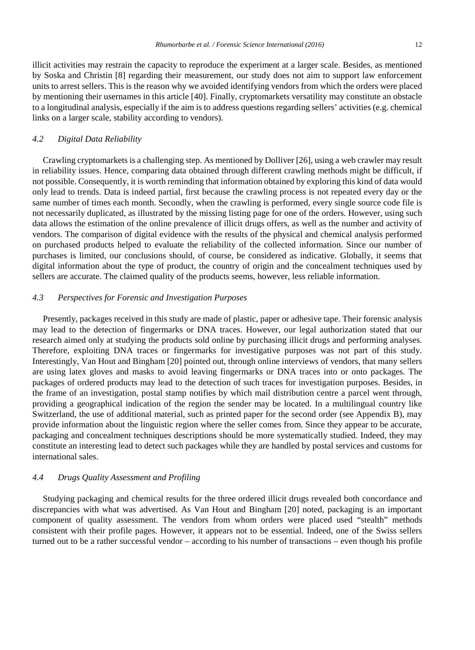illicit activities may restrain the capacity to reproduce the experiment at a larger scale. Besides, as mentioned by Soska and Christin [8] regarding their measurement, our study does not aim to support law enforcement units to arrest sellers. This is the reason why we avoided identifying vendors from which the orders were placed by mentioning their usernames in this article [40]. Finally, cryptomarkets versatility may constitute an obstacle to a longitudinal analysis, especially if the aim is to address questions regarding sellers' activities (e.g. chemical links on a larger scale, stability according to vendors).

#### *4.2 Digital Data Reliability*

Crawling cryptomarkets is a challenging step. As mentioned by Dolliver [26], using a web crawler may result in reliability issues. Hence, comparing data obtained through different crawling methods might be difficult, if not possible. Consequently, it is worth reminding that information obtained by exploring this kind of data would only lead to trends. Data is indeed partial, first because the crawling process is not repeated every day or the same number of times each month. Secondly, when the crawling is performed, every single source code file is not necessarily duplicated, as illustrated by the missing listing page for one of the orders. However, using such data allows the estimation of the online prevalence of illicit drugs offers, as well as the number and activity of vendors. The comparison of digital evidence with the results of the physical and chemical analysis performed on purchased products helped to evaluate the reliability of the collected information. Since our number of purchases is limited, our conclusions should, of course, be considered as indicative. Globally, it seems that digital information about the type of product, the country of origin and the concealment techniques used by sellers are accurate. The claimed quality of the products seems, however, less reliable information.

### *4.3 Perspectives for Forensic and Investigation Purposes*

Presently, packages received in this study are made of plastic, paper or adhesive tape. Their forensic analysis may lead to the detection of fingermarks or DNA traces. However, our legal authorization stated that our research aimed only at studying the products sold online by purchasing illicit drugs and performing analyses. Therefore, exploiting DNA traces or fingermarks for investigative purposes was not part of this study. Interestingly, Van Hout and Bingham [20] pointed out, through online interviews of vendors, that many sellers are using latex gloves and masks to avoid leaving fingermarks or DNA traces into or onto packages. The packages of ordered products may lead to the detection of such traces for investigation purposes. Besides, in the frame of an investigation, postal stamp notifies by which mail distribution centre a parcel went through, providing a geographical indication of the region the sender may be located. In a multilingual country like Switzerland, the use of additional material, such as printed paper for the second order (see Appendix B), may provide information about the linguistic region where the seller comes from. Since they appear to be accurate, packaging and concealment techniques descriptions should be more systematically studied. Indeed, they may constitute an interesting lead to detect such packages while they are handled by postal services and customs for international sales.

### *4.4 Drugs Quality Assessment and Profiling*

Studying packaging and chemical results for the three ordered illicit drugs revealed both concordance and discrepancies with what was advertised. As Van Hout and Bingham [20] noted, packaging is an important component of quality assessment. The vendors from whom orders were placed used "stealth" methods consistent with their profile pages. However, it appears not to be essential. Indeed, one of the Swiss sellers turned out to be a rather successful vendor – according to his number of transactions – even though his profile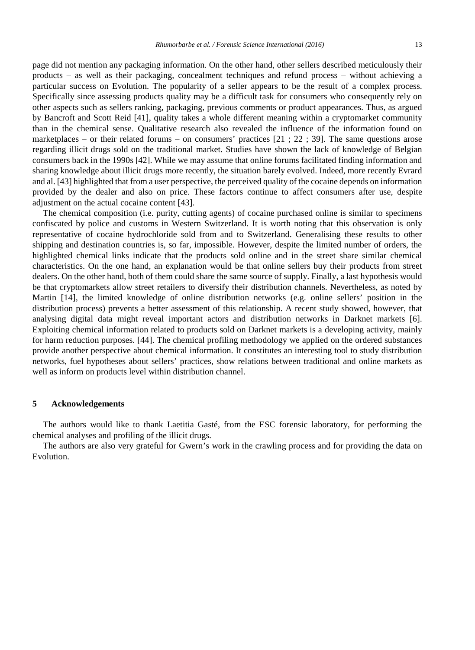page did not mention any packaging information. On the other hand, other sellers described meticulously their products – as well as their packaging, concealment techniques and refund process – without achieving a particular success on Evolution. The popularity of a seller appears to be the result of a complex process. Specifically since assessing products quality may be a difficult task for consumers who consequently rely on other aspects such as sellers ranking, packaging, previous comments or product appearances. Thus, as argued by Bancroft and Scott Reid [41], quality takes a whole different meaning within a cryptomarket community than in the chemical sense. Qualitative research also revealed the influence of the information found on marketplaces – or their related forums – on consumers' practices [21 ; 22 ; 39]. The same questions arose regarding illicit drugs sold on the traditional market. Studies have shown the lack of knowledge of Belgian consumers back in the 1990s [42]. While we may assume that online forums facilitated finding information and sharing knowledge about illicit drugs more recently, the situation barely evolved. Indeed, more recently Evrard and al. [43] highlighted that from a user perspective, the perceived quality of the cocaine depends on information provided by the dealer and also on price. These factors continue to affect consumers after use, despite adjustment on the actual cocaine content [43].

The chemical composition (i.e. purity, cutting agents) of cocaine purchased online is similar to specimens confiscated by police and customs in Western Switzerland. It is worth noting that this observation is only representative of cocaine hydrochloride sold from and to Switzerland. Generalising these results to other shipping and destination countries is, so far, impossible. However, despite the limited number of orders, the highlighted chemical links indicate that the products sold online and in the street share similar chemical characteristics. On the one hand, an explanation would be that online sellers buy their products from street dealers. On the other hand, both of them could share the same source of supply. Finally, a last hypothesis would be that cryptomarkets allow street retailers to diversify their distribution channels. Nevertheless, as noted by Martin [14], the limited knowledge of online distribution networks (e.g. online sellers' position in the distribution process) prevents a better assessment of this relationship. A recent study showed, however, that analysing digital data might reveal important actors and distribution networks in Darknet markets [6]. Exploiting chemical information related to products sold on Darknet markets is a developing activity, mainly for harm reduction purposes. [44]. The chemical profiling methodology we applied on the ordered substances provide another perspective about chemical information. It constitutes an interesting tool to study distribution networks, fuel hypotheses about sellers' practices, show relations between traditional and online markets as well as inform on products level within distribution channel.

#### **5 Acknowledgements**

The authors would like to thank Laetitia Gasté, from the ESC forensic laboratory, for performing the chemical analyses and profiling of the illicit drugs.

The authors are also very grateful for Gwern's work in the crawling process and for providing the data on Evolution.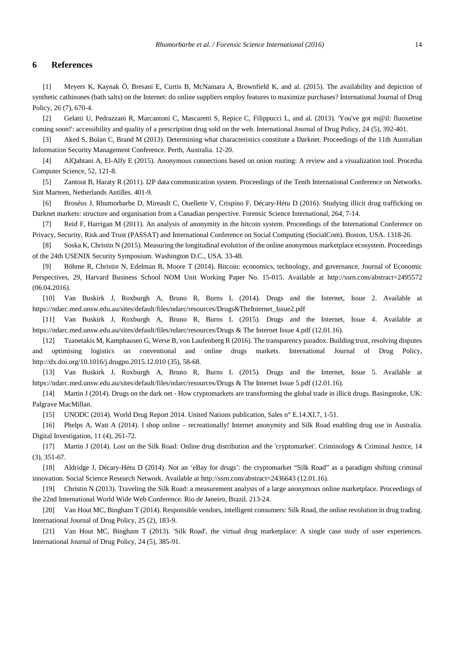#### **6 References**

[1] Meyers K, Kaynak Ö, Bresani E, Curtis B, McNamara A, Brownfield K, and al. (2015). The availability and depiction of synthetic cathinones (bath salts) on the Internet: do online suppliers employ features to maximize purchases? International Journal of Drug Policy, 26 (7), 670-4.

[2] Gelatti U, Pedrazzani R, Marcantoni C, Mascaretti S, Repice C, Filippucci L, and al. (2013). 'You've got m@il: fluoxetine coming soon!': accessibility and quality of a prescription drug sold on the web. International Journal of Drug Policy, 24 (5), 392-401.

[3] Aked S, Bolan C, Brand M (2013). Determining what characteristics constitute a Darknet. Proceedings of the 11th Australian Information Security Management Conference. Perth, Australia. 12-20.

[4] AlQahtani A, El-Alfy E (2015). Anonymous connections based on onion routing: A review and a visualization tool. Procedia Computer Science, 52, 121-8.

[5] Zantout B, Haraty R (2011). I2P data communication system. Proceedings of the Tenth International Conference on Networks. Sint Marteen, Netherlands Antilles. 401-9.

[6] Broséus J, Rhumorbarbe D, Mireault C, Ouellette V, Crispino F, Décary-Hétu D (2016). Studying illicit drug trafficking on Darknet markets: structure and organisation from a Canadian perspective. Forensic Science International, 264, 7-14.

[7] Reid F, Harrigan M (2011). An analysis of anonymity in the bitcoin system. Proceedings of the International Conference on Privacy, Security, Risk and Trust (PASSAT) and International Conference on Social Computing (SocialCom). Boston, USA. 1318-26.

[8] Soska K, Christin N (2015). Measuring the longitudinal evolution of the online anonymous marketplace ecosystem. Proceedings of the 24th USENIX Security Symposium. Washington D.C., USA. 33-48.

[9] Böhme R, Christin N, Edelman B, Moore T (2014). Bitcoin: economics, technology, and governance. Journal of Economic Perspectives, 29, Harvard Business School NOM Unit Working Paper No. 15-015. Available at http://ssrn.com/abstract=2495572 (06.04.2016).

[10] Van Buskirk J, Roxburgh A, Bruno R, Burns L (2014). Drugs and the Internet, Issue 2. Available at https://ndarc.med.unsw.edu.au/sites/default/files/ndarc/resources/Drugs&TheInternet\_Issue2.pdf

[11] Van Buskirk J, Roxburgh A, Bruno R, Burns L (2015). Drugs and the Internet, Issue 4. Available at https://ndarc.med.unsw.edu.au/sites/default/files/ndarc/resources/Drugs & The Internet Issue 4.pdf (12.01.16).

[12] Tzanetakis M, Kamphausen G, Werse B, von Laufenberg R (2016). The transparency paradox. Building trust, resolving disputes and optimising logistics on conventional and online drugs markets. International Journal of Drug Policy, http://dx.doi.org/10.1016/j.drugpo.2015.12.010 (35), 58-68.

[13] Van Buskirk J, Roxburgh A, Bruno R, Burns L (2015). Drugs and the Internet, Issue 5. Available at https://ndarc.med.unsw.edu.au/sites/default/files/ndarc/resources/Drugs & The Internet Issue 5.pdf (12.01.16).

[14] Martin J (2014). Drugs on the dark net - How cryptomarkets are transforming the global trade in illicit drugs. Basingstoke, UK: Palgrave MacMillan.

[15] UNODC (2014). World Drug Report 2014. United Nations publication, Sales n° E.14.XI.7, 1-51.

[16] Phelps A, Watt A (2014). I shop online – recreationally! Internet anonymity and Silk Road enabling drug use in Australia. Digital Investigation, 11 (4), 261-72.

[17] Martin J (2014). Lost on the Silk Road: Online drug distribution and the 'cryptomarket'. Criminology & Criminal Justice, 14 (3), 351-67.

[18] Aldridge J, Décary-Hétu D (2014). Not an 'eBay for drugs': the cryptomarket "Silk Road" as a paradigm shifting criminal innovation. Social Science Research Network. Available at http://ssrn.com/abstract=2436643 (12.01.16).

[19] Christin N (2013). Traveling the Silk Road: a measurement analysis of a large anonymous online marketplace. Proceedings of the 22nd International World Wide Web Conference. Rio de Janeiro, Brazil. 213-24.

[20] Van Hout MC, Bingham T (2014). Responsible vendors, intelligent consumers: Silk Road, the online revolution in drug trading. International Journal of Drug Policy, 25 (2), 183-9.

[21] Van Hout MC, Bingham T (2013). 'Silk Road', the virtual drug marketplace: A single case study of user experiences. International Journal of Drug Policy, 24 (5), 385-91.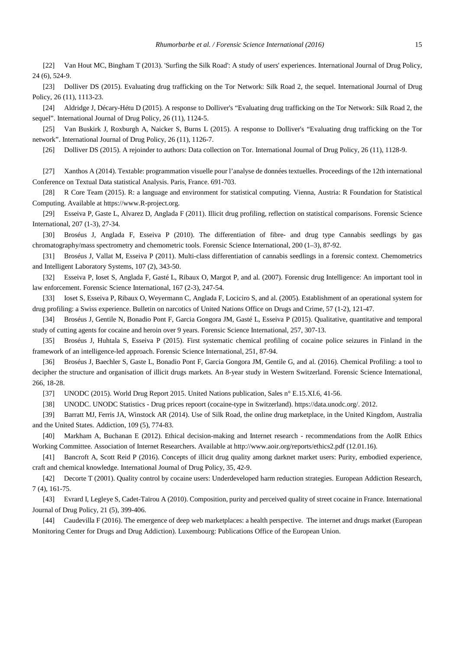[22] Van Hout MC, Bingham T (2013). 'Surfing the Silk Road': A study of users' experiences. International Journal of Drug Policy, 24 (6), 524-9.

[23] Dolliver DS (2015). Evaluating drug trafficking on the Tor Network: Silk Road 2, the sequel. International Journal of Drug Policy, 26 (11), 1113-23.

[24] Aldridge J, Décary-Hétu D (2015). A response to Dolliver's "Evaluating drug trafficking on the Tor Network: Silk Road 2, the sequel". International Journal of Drug Policy, 26 (11), 1124-5.

[25] Van Buskirk J, Roxburgh A, Naicker S, Burns L (2015). A response to Dolliver's "Evaluating drug trafficking on the Tor network". International Journal of Drug Policy, 26 (11), 1126-7.

[26] Dolliver DS (2015). A rejoinder to authors: Data collection on Tor. International Journal of Drug Policy, 26 (11), 1128-9.

[27] Xanthos A (2014). Textable: programmation visuelle pour l'analyse de données textuelles. Proceedings of the 12th international Conference on Textual Data statistical Analysis. Paris, France. 691-703.

[28] R Core Team (2015). R: a language and environment for statistical computing. Vienna, Austria: R Foundation for Statistical Computing. Available at https://www.R-project.org.

[29] Esseiva P, Gaste L, Alvarez D, Anglada F (2011). Illicit drug profiling, reflection on statistical comparisons. Forensic Science International, 207 (1-3), 27-34.

[30] Broséus J, Anglada F, Esseiva P (2010). The differentiation of fibre- and drug type Cannabis seedlings by gas chromatography/mass spectrometry and chemometric tools. Forensic Science International, 200 (1–3), 87-92.

[31] Broséus J, Vallat M, Esseiva P (2011). Multi-class differentiation of cannabis seedlings in a forensic context. Chemometrics and Intelligent Laboratory Systems, 107 (2), 343-50.

[32] Esseiva P, Ioset S, Anglada F, Gasté L, Ribaux O, Margot P, and al. (2007). Forensic drug Intelligence: An important tool in law enforcement. Forensic Science International, 167 (2-3), 247-54.

[33] Ioset S, Esseiva P, Ribaux O, Weyermann C, Anglada F, Lociciro S, and al. (2005). Establishment of an operational system for drug profiling: a Swiss experience. Bulletin on narcotics of United Nations Office on Drugs and Crime, 57 (1-2), 121-47.

[34] Broséus J, Gentile N, Bonadio Pont F, Garcia Gongora JM, Gasté L, Esseiva P (2015). Qualitative, quantitative and temporal study of cutting agents for cocaine and heroin over 9 years. Forensic Science International, 257, 307-13.

[35] Broséus J, Huhtala S, Esseiva P (2015). First systematic chemical profiling of cocaine police seizures in Finland in the framework of an intelligence-led approach. Forensic Science International, 251, 87-94.

[36] Broséus J, Baechler S, Gaste L, Bonadio Pont F, Garcia Gongora JM, Gentile G, and al. (2016). Chemical Profiling: a tool to decipher the structure and organisation of illicit drugs markets. An 8-year study in Western Switzerland. Forensic Science International, 266, 18-28.

[37] UNODC (2015). World Drug Report 2015. United Nations publication, Sales n° E.15.XI.6, 41-56.

[38] UNODC. UNODC Statistics - Drug prices repoort (cocaine-type in Switzerland). https://data.unodc.org/. 2012.

[39] Barratt MJ, Ferris JA, Winstock AR (2014). Use of Silk Road, the online drug marketplace, in the United Kingdom, Australia and the United States. Addiction, 109 (5), 774-83.

[40] Markham A, Buchanan E (2012). Ethical decision-making and Internet research - recommendations from the AoIR Ethics Working Committee. Association of Internet Researchers. Available at http://www.aoir.org/reports/ethics2.pdf (12.01.16).

[41] Bancroft A, Scott Reid P (2016). Concepts of illicit drug quality among darknet market users: Purity, embodied experience, craft and chemical knowledge. International Journal of Drug Policy, 35, 42-9.

[42] Decorte T (2001). Quality control by cocaine users: Underdeveloped harm reduction strategies. European Addiction Research, 7 (4), 161-75.

[43] Evrard I, Legleye S, Cadet-Taïrou A (2010). Composition, purity and perceived quality of street cocaine in France. International Journal of Drug Policy, 21 (5), 399-406.

[44] Caudevilla F (2016). The emergence of deep web marketplaces: a health perspective. The internet and drugs market (European Monitoring Center for Drugs and Drug Addiction). Luxembourg: Publications Office of the European Union.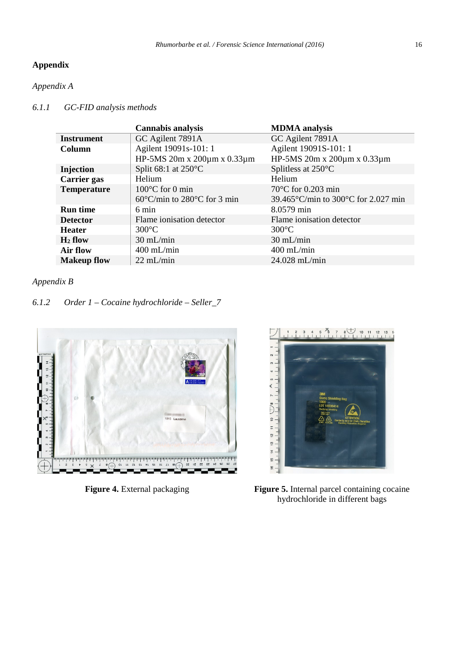# **Appendix**

# *Appendix A*

j

### *6.1.1 GC-FID analysis methods*

|                    | <b>Cannabis analysis</b>                         | <b>MDMA</b> analysis                                    |
|--------------------|--------------------------------------------------|---------------------------------------------------------|
| <b>Instrument</b>  | GC Agilent 7891A                                 | GC Agilent 7891A                                        |
| Column             | Agilent 19091s-101: 1                            | Agilent 19091S-101: 1                                   |
|                    | HP-5MS 20m x 200μm x 0.33μm                      | HP-5MS 20m x 200μm x 0.33μm                             |
| Injection          | Split $68:1$ at $250^{\circ}$ C                  | Splitless at 250°C                                      |
| <b>Carrier</b> gas | Helium                                           | Helium                                                  |
| <b>Temperature</b> | $100^{\circ}$ C for 0 min                        | $70^{\circ}$ C for 0.203 min                            |
|                    | $60^{\circ}$ C/min to 280 $^{\circ}$ C for 3 min | 39.465 $\degree$ C/min to 300 $\degree$ C for 2.027 min |
| <b>Run time</b>    | 6 min                                            | 8.0579 min                                              |
| <b>Detector</b>    | Flame ionisation detector                        | Flame ionisation detector                               |
| <b>Heater</b>      | $300^{\circ}$ C                                  | $300^{\circ}$ C                                         |
| $H_2$ flow         | $30 \text{ mL/min}$                              | $30 \text{ mL/min}$                                     |
| Air flow           | $400$ mL/min                                     | $400$ mL/min                                            |
| <b>Makeup flow</b> | $22 \text{ mL/min}$                              | $24.028$ mL/min                                         |

### *Appendix B*

# *6.1.2 Order 1 – Cocaine hydrochloride – Seller\_7*





**Figure 4.** External packaging **Figure 5.** Internal parcel containing cocaine hydrochloride in different bags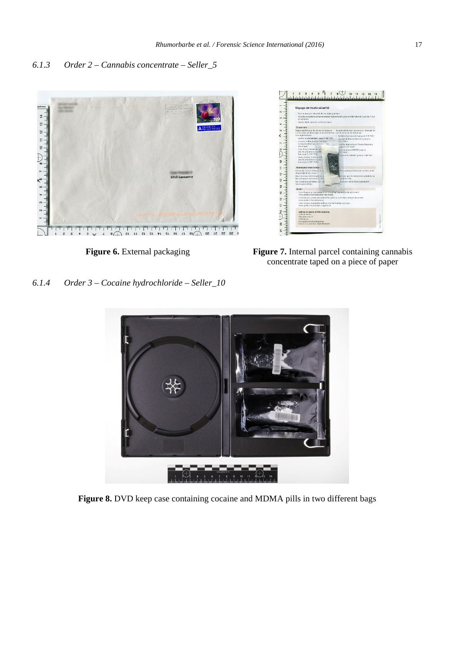### *6.1.3 Order 2 – Cannabis concentrate – Seller\_5*





**Figure 6.** External packaging **Figure 7.** Internal parcel containing cannabis concentrate taped on a piece of paper

*6.1.4 Order 3 – Cocaine hydrochloride – Seller\_10*



**Figure 8.** DVD keep case containing cocaine and MDMA pills in two different bags